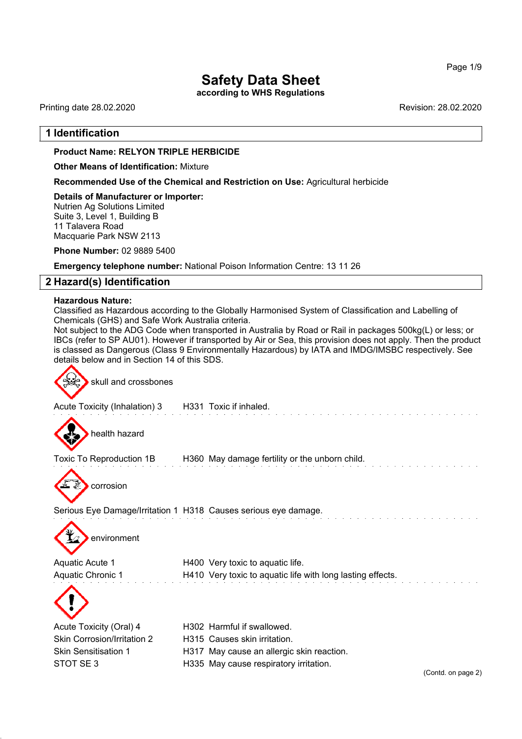**according to WHS Regulations**

Printing date 28.02.2020 **Revision: 28.02.2020** Revision: 28.02.2020

## **1 Identification**

#### **Product Name: RELYON TRIPLE HERBICIDE**

**Other Means of Identification:** Mixture

**Recommended Use of the Chemical and Restriction on Use:** Agricultural herbicide

**Details of Manufacturer or Importer:** Nutrien Ag Solutions Limited Suite 3, Level 1, Building B 11 Talavera Road Macquarie Park NSW 2113

**Phone Number:** 02 9889 5400

**Emergency telephone number:** National Poison Information Centre: 13 11 26

## **2 Hazard(s) Identification**

#### **Hazardous Nature:**

Classified as Hazardous according to the Globally Harmonised System of Classification and Labelling of Chemicals (GHS) and Safe Work Australia criteria.

Not subject to the ADG Code when transported in Australia by Road or Rail in packages 500kg(L) or less; or IBCs (refer to SP AU01). However if transported by Air or Sea, this provision does not apply. Then the product is classed as Dangerous (Class 9 Environmentally Hazardous) by IATA and IMDG/IMSBC respectively. See details below and in Section 14 of this SDS.

skull and crossbones

Acute Toxicity (Inhalation) 3 H331 Toxic if inhaled.



health hazard

Toxic To Reproduction 1B H360 May damage fertility or the unborn child.



Serious Eye Damage/Irritation 1 H318 Causes serious eye damage.

environment

| Aquatic Acute 1   | H400 Very toxic to aquatic life.                           |
|-------------------|------------------------------------------------------------|
| Aquatic Chronic 1 | H410 Very toxic to aquatic life with long lasting effects. |



| Acute Toxicity (Oral) 4            |
|------------------------------------|
| <b>Skin Corrosion/Irritation 2</b> |
| <b>Skin Sensitisation 1</b>        |
| STOT SE3                           |

H302 Harmful if swallowed. H315 Causes skin irritation. H317 May cause an allergic skin reaction. H335 May cause respiratory irritation.

(Contd. on page 2)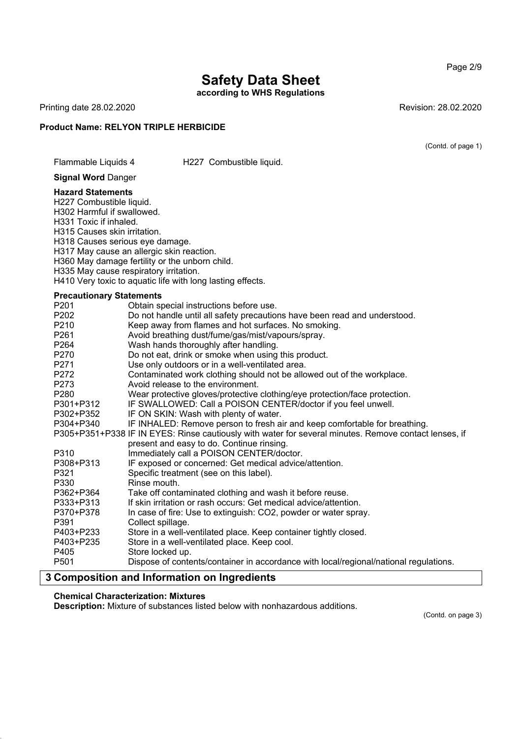**according to WHS Regulations**

Printing date 28.02.2020 **Revision: 28.02.2020** 

#### **Product Name: RELYON TRIPLE HERBICIDE**

(Contd. of page 1)

Page 2/9

#### Flammable Liquids 4 H227 Combustible liquid.

**Signal Word** Danger

#### **Hazard Statements**

H227 Combustible liquid.

H302 Harmful if swallowed.

H331 Toxic if inhaled.

H315 Causes skin irritation.

H318 Causes serious eye damage.

H317 May cause an allergic skin reaction.

H360 May damage fertility or the unborn child.

H335 May cause respiratory irritation.

H410 Very toxic to aquatic life with long lasting effects.

## **Precautionary Statements**

| <b>FIGUALIONALY STATEMENTS</b> |                                                                                                       |  |  |
|--------------------------------|-------------------------------------------------------------------------------------------------------|--|--|
| P <sub>201</sub>               | Obtain special instructions before use.                                                               |  |  |
| P202                           | Do not handle until all safety precautions have been read and understood.                             |  |  |
| P210                           | Keep away from flames and hot surfaces. No smoking.                                                   |  |  |
| P <sub>261</sub>               | Avoid breathing dust/fume/gas/mist/vapours/spray.                                                     |  |  |
| P264                           | Wash hands thoroughly after handling.                                                                 |  |  |
| P270                           | Do not eat, drink or smoke when using this product.                                                   |  |  |
| P271                           | Use only outdoors or in a well-ventilated area.                                                       |  |  |
| P272                           | Contaminated work clothing should not be allowed out of the workplace.                                |  |  |
| P273                           | Avoid release to the environment.                                                                     |  |  |
| P280                           | Wear protective gloves/protective clothing/eye protection/face protection.                            |  |  |
| P301+P312                      | IF SWALLOWED: Call a POISON CENTER/doctor if you feel unwell.                                         |  |  |
| P302+P352                      | IF ON SKIN: Wash with plenty of water.                                                                |  |  |
| P304+P340                      | IF INHALED: Remove person to fresh air and keep comfortable for breathing.                            |  |  |
|                                | P305+P351+P338 IF IN EYES: Rinse cautiously with water for several minutes. Remove contact lenses, if |  |  |
|                                | present and easy to do. Continue rinsing.                                                             |  |  |
| P310                           | Immediately call a POISON CENTER/doctor.                                                              |  |  |
| P308+P313                      | IF exposed or concerned: Get medical advice/attention.                                                |  |  |
| P321                           | Specific treatment (see on this label).                                                               |  |  |
| P330                           | Rinse mouth.                                                                                          |  |  |
| P362+P364                      | Take off contaminated clothing and wash it before reuse.                                              |  |  |
| P333+P313                      | If skin irritation or rash occurs: Get medical advice/attention.                                      |  |  |
| P370+P378                      | In case of fire: Use to extinguish: CO2, powder or water spray.                                       |  |  |
| P391                           | Collect spillage.                                                                                     |  |  |
| P403+P233                      | Store in a well-ventilated place. Keep container tightly closed.                                      |  |  |
| P403+P235                      | Store in a well-ventilated place. Keep cool.                                                          |  |  |
| P405                           | Store locked up.                                                                                      |  |  |
| P <sub>501</sub>               | Dispose of contents/container in accordance with local/regional/national regulations.                 |  |  |
|                                |                                                                                                       |  |  |

## **3 Composition and Information on Ingredients**

#### **Chemical Characterization: Mixtures**

**Description:** Mixture of substances listed below with nonhazardous additions.

(Contd. on page 3)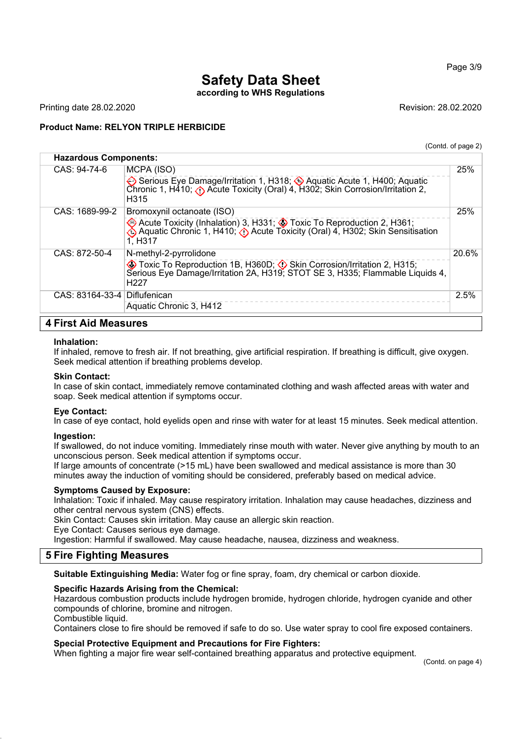## **Safety Data Sheet according to WHS Regulations**

Printing date 28.02.2020 **Revision: 28.02.2020** Revision: 28.02.2020

## **Product Name: RELYON TRIPLE HERBICIDE**

(Contd. of page 2)

Page 3/9

| <b>Hazardous Components:</b> |                                                                                                                                                                                                        |       |
|------------------------------|--------------------------------------------------------------------------------------------------------------------------------------------------------------------------------------------------------|-------|
| CAS: 94-74-6                 | MCPA (ISO)<br>Serious Eye Damage/Irritation 1, H318; Aquatic Acute 1, H400; Aquatic<br>Chronic 1, H410; (b) Acute Toxicity (Oral) 4, H302; Skin Corrosion/Irritation 2,<br>H315                        | 25%   |
| CAS: 1689-99-2               | Bromoxynil octanoate (ISO)<br>♦ Acute Toxicity (Inhalation) 3, H331; ♦ Toxic To Reproduction 2, H361;<br>♦ Aquatic Chronic 1, H410; ♦ Acute Toxicity (Oral) 4, H302; Skin Sensitisation<br>1, H317     | 25%   |
| CAS: 872-50-4                | N-methyl-2-pyrrolidone<br>◆ Toxic To Reproduction 1B, H360D; ◆ Skin Corrosion/Irritation 2, H315;<br>Serious Eye Damage/Irritation 2A, H319; STOT SE 3, H335; Flammable Liquids 4,<br>H <sub>227</sub> | 20.6% |
| $CAS: 83164-33-4$            | Diflufenican<br>Aquatic Chronic 3, H412                                                                                                                                                                | 2.5%  |
| <b>4 First Aid Measures</b>  |                                                                                                                                                                                                        |       |

## **Inhalation:**

If inhaled, remove to fresh air. If not breathing, give artificial respiration. If breathing is difficult, give oxygen. Seek medical attention if breathing problems develop.

#### **Skin Contact:**

In case of skin contact, immediately remove contaminated clothing and wash affected areas with water and soap. Seek medical attention if symptoms occur.

#### **Eye Contact:**

In case of eye contact, hold eyelids open and rinse with water for at least 15 minutes. Seek medical attention.

#### **Ingestion:**

If swallowed, do not induce vomiting. Immediately rinse mouth with water. Never give anything by mouth to an unconscious person. Seek medical attention if symptoms occur.

If large amounts of concentrate (>15 mL) have been swallowed and medical assistance is more than 30 minutes away the induction of vomiting should be considered, preferably based on medical advice.

#### **Symptoms Caused by Exposure:**

Inhalation: Toxic if inhaled. May cause respiratory irritation. Inhalation may cause headaches, dizziness and other central nervous system (CNS) effects.

Skin Contact: Causes skin irritation. May cause an allergic skin reaction.

Eye Contact: Causes serious eye damage.

Ingestion: Harmful if swallowed. May cause headache, nausea, dizziness and weakness.

## **5 Fire Fighting Measures**

**Suitable Extinguishing Media:** Water fog or fine spray, foam, dry chemical or carbon dioxide.

## **Specific Hazards Arising from the Chemical:**

Hazardous combustion products include hydrogen bromide, hydrogen chloride, hydrogen cyanide and other compounds of chlorine, bromine and nitrogen.

Combustible liquid.

Containers close to fire should be removed if safe to do so. Use water spray to cool fire exposed containers.

## **Special Protective Equipment and Precautions for Fire Fighters:**

When fighting a major fire wear self-contained breathing apparatus and protective equipment.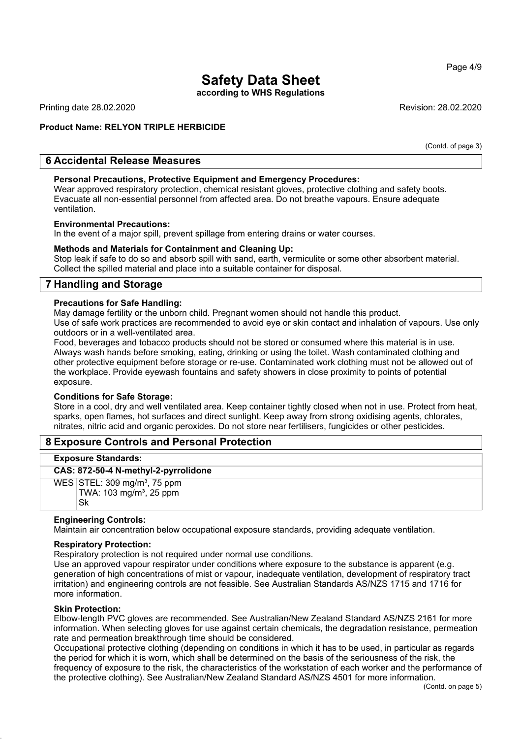Page 4/9

## **Safety Data Sheet**

**according to WHS Regulations**

Printing date 28.02.2020 **Revision: 28.02.2020** Revision: 28.02.2020

## **Product Name: RELYON TRIPLE HERBICIDE**

(Contd. of page 3)

## **6 Accidental Release Measures**

### **Personal Precautions, Protective Equipment and Emergency Procedures:**

Wear approved respiratory protection, chemical resistant gloves, protective clothing and safety boots. Evacuate all non-essential personnel from affected area. Do not breathe vapours. Ensure adequate ventilation.

#### **Environmental Precautions:**

In the event of a major spill, prevent spillage from entering drains or water courses.

#### **Methods and Materials for Containment and Cleaning Up:**

Stop leak if safe to do so and absorb spill with sand, earth, vermiculite or some other absorbent material. Collect the spilled material and place into a suitable container for disposal.

## **7 Handling and Storage**

#### **Precautions for Safe Handling:**

May damage fertility or the unborn child. Pregnant women should not handle this product.

Use of safe work practices are recommended to avoid eye or skin contact and inhalation of vapours. Use only outdoors or in a well-ventilated area.

Food, beverages and tobacco products should not be stored or consumed where this material is in use. Always wash hands before smoking, eating, drinking or using the toilet. Wash contaminated clothing and other protective equipment before storage or re-use. Contaminated work clothing must not be allowed out of the workplace. Provide eyewash fountains and safety showers in close proximity to points of potential exposure.

#### **Conditions for Safe Storage:**

Store in a cool, dry and well ventilated area. Keep container tightly closed when not in use. Protect from heat, sparks, open flames, hot surfaces and direct sunlight. Keep away from strong oxidising agents, chlorates, nitrates, nitric acid and organic peroxides. Do not store near fertilisers, fungicides or other pesticides.

## **8 Exposure Controls and Personal Protection**

#### **Exposure Standards:**

#### **CAS: 872-50-4 N-methyl-2-pyrrolidone**

 $WES$  STEL: 309 mg/m<sup>3</sup>, 75 ppm TWA: 103 mg/m<sup>3</sup>, 25 ppm Sk

#### **Engineering Controls:**

Maintain air concentration below occupational exposure standards, providing adequate ventilation.

#### **Respiratory Protection:**

Respiratory protection is not required under normal use conditions.

Use an approved vapour respirator under conditions where exposure to the substance is apparent (e.g. generation of high concentrations of mist or vapour, inadequate ventilation, development of respiratory tract irritation) and engineering controls are not feasible. See Australian Standards AS/NZS 1715 and 1716 for more information.

#### **Skin Protection:**

Elbow-length PVC gloves are recommended. See Australian/New Zealand Standard AS/NZS 2161 for more information. When selecting gloves for use against certain chemicals, the degradation resistance, permeation rate and permeation breakthrough time should be considered.

Occupational protective clothing (depending on conditions in which it has to be used, in particular as regards the period for which it is worn, which shall be determined on the basis of the seriousness of the risk, the frequency of exposure to the risk, the characteristics of the workstation of each worker and the performance of the protective clothing). See Australian/New Zealand Standard AS/NZS 4501 for more information.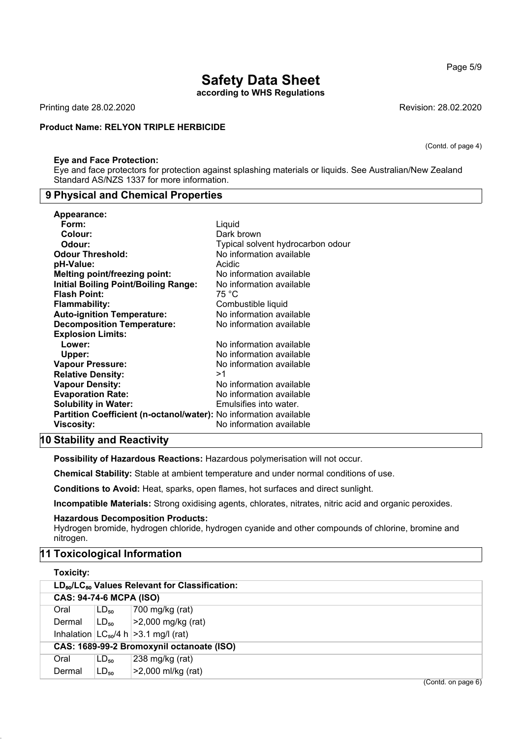**according to WHS Regulations**

Printing date 28.02.2020 Revision: 28.02.2020

## **Product Name: RELYON TRIPLE HERBICIDE**

#### **Eye and Face Protection:**

Eye and face protectors for protection against splashing materials or liquids. See Australian/New Zealand Standard AS/NZS 1337 for more information.

#### **9 Physical and Chemical Properties**

| <b>Appearance:</b>                                                       |                                   |
|--------------------------------------------------------------------------|-----------------------------------|
| Form:                                                                    | Liquid                            |
| Colour:                                                                  | Dark brown                        |
| Odour:                                                                   | Typical solvent hydrocarbon odour |
| <b>Odour Threshold:</b>                                                  | No information available          |
| pH-Value:                                                                | Acidic                            |
| <b>Melting point/freezing point:</b>                                     | No information available          |
| <b>Initial Boiling Point/Boiling Range:</b>                              | No information available          |
| <b>Flash Point:</b>                                                      | 75 °C                             |
| <b>Flammability:</b>                                                     | Combustible liquid                |
| <b>Auto-ignition Temperature:</b>                                        | No information available          |
| <b>Decomposition Temperature:</b>                                        | No information available          |
| <b>Explosion Limits:</b>                                                 |                                   |
| Lower:                                                                   | No information available          |
| Upper:                                                                   | No information available          |
| <b>Vapour Pressure:</b>                                                  | No information available          |
| <b>Relative Density:</b>                                                 | >1                                |
| <b>Vapour Density:</b>                                                   | No information available          |
| <b>Evaporation Rate:</b>                                                 | No information available          |
| <b>Solubility in Water:</b>                                              | Emulsifies into water.            |
| <b>Partition Coefficient (n-octanol/water):</b> No information available |                                   |
| Viscosity:                                                               | No information available          |
|                                                                          |                                   |

#### **10 Stability and Reactivity**

**Possibility of Hazardous Reactions:** Hazardous polymerisation will not occur.

**Chemical Stability:** Stable at ambient temperature and under normal conditions of use.

**Conditions to Avoid:** Heat, sparks, open flames, hot surfaces and direct sunlight.

**Incompatible Materials:** Strong oxidising agents, chlorates, nitrates, nitric acid and organic peroxides.

#### **Hazardous Decomposition Products:**

Hydrogen bromide, hydrogen chloride, hydrogen cyanide and other compounds of chlorine, bromine and nitrogen.

## **11 Toxicological Information**

| <b>Toxicity:</b>                                                       |           |                                             |  |
|------------------------------------------------------------------------|-----------|---------------------------------------------|--|
| LD <sub>50</sub> /LC <sub>50</sub> Values Relevant for Classification: |           |                                             |  |
| <b>CAS: 94-74-6 MCPA (ISO)</b>                                         |           |                                             |  |
| Oral                                                                   | $LD_{50}$ | 700 mg/kg (rat)                             |  |
| Dermal                                                                 | $LD_{50}$ | >2,000 mg/kg (rat)                          |  |
|                                                                        |           | Inhalation $ LC_{50}/4 h  > 3.1$ mg/l (rat) |  |
| CAS: 1689-99-2 Bromoxynil octanoate (ISO)                              |           |                                             |  |
| Oral                                                                   | $LD_{50}$ | 238 mg/kg (rat)                             |  |
| Dermal                                                                 | $LD_{50}$ | >2,000 ml/kg (rat)                          |  |
|                                                                        |           | (Contd. on page 6)                          |  |

Page 5/9

(Contd. of page 4)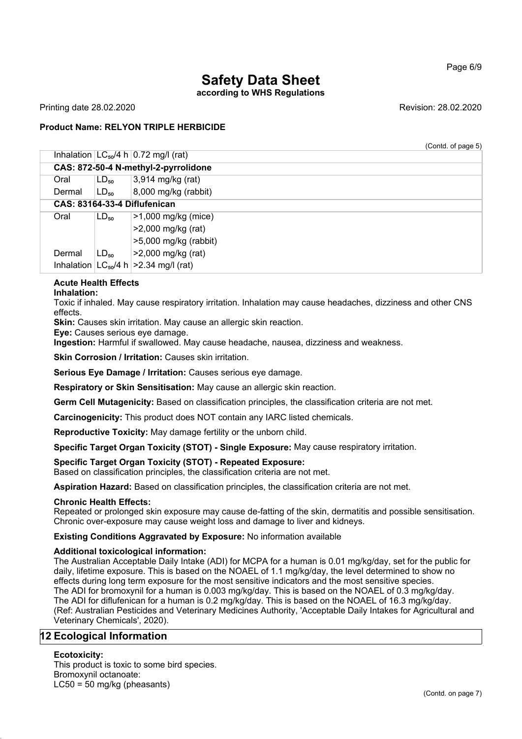## **Safety Data Sheet according to WHS Regulations**

Printing date 28.02.2020 **Revision: 28.02.2020** Revision: 28.02.2020

## **Product Name: RELYON TRIPLE HERBICIDE**

(Contd. of page 5)

|        |                    | Inhalation $ LC_{50}/4 h 0.72$ mg/l (rat)    |
|--------|--------------------|----------------------------------------------|
|        |                    | CAS: 872-50-4 N-methyl-2-pyrrolidone         |
| Oral   | $LD_{50}$          | 3,914 mg/kg (rat)                            |
| Dermal | $\mathsf{LD_{so}}$ | 8,000 mg/kg (rabbit)                         |
|        |                    | CAS: 83164-33-4 Diflufenican                 |
| Oral   | $LD_{50}$          | $>1,000$ mg/kg (mice)                        |
|        |                    | >2,000 mg/kg (rat)                           |
|        |                    | $>5,000$ mg/kg (rabbit)                      |
| Dermal | $LD_{50}$          | >2,000 mg/kg (rat)                           |
|        |                    | Inhalation $ LG_{50}/4 h  > 2.34$ mg/l (rat) |

## **Acute Health Effects**

**Inhalation:**

Toxic if inhaled. May cause respiratory irritation. Inhalation may cause headaches, dizziness and other CNS effects.

**Skin:** Causes skin irritation. May cause an allergic skin reaction.

**Eye:** Causes serious eye damage.

**Ingestion:** Harmful if swallowed. May cause headache, nausea, dizziness and weakness.

**Skin Corrosion / Irritation:** Causes skin irritation.

**Serious Eye Damage / Irritation:** Causes serious eye damage.

**Respiratory or Skin Sensitisation:** May cause an allergic skin reaction.

**Germ Cell Mutagenicity:** Based on classification principles, the classification criteria are not met.

**Carcinogenicity:** This product does NOT contain any IARC listed chemicals.

**Reproductive Toxicity:** May damage fertility or the unborn child.

**Specific Target Organ Toxicity (STOT) - Single Exposure:** May cause respiratory irritation.

#### **Specific Target Organ Toxicity (STOT) - Repeated Exposure:**

Based on classification principles, the classification criteria are not met.

**Aspiration Hazard:** Based on classification principles, the classification criteria are not met.

#### **Chronic Health Effects:**

Repeated or prolonged skin exposure may cause de-fatting of the skin, dermatitis and possible sensitisation. Chronic over-exposure may cause weight loss and damage to liver and kidneys.

**Existing Conditions Aggravated by Exposure:** No information available

#### **Additional toxicological information:**

The Australian Acceptable Daily Intake (ADI) for MCPA for a human is 0.01 mg/kg/day, set for the public for daily, lifetime exposure. This is based on the NOAEL of 1.1 mg/kg/day, the level determined to show no effects during long term exposure for the most sensitive indicators and the most sensitive species. The ADI for bromoxynil for a human is 0.003 mg/kg/day. This is based on the NOAEL of 0.3 mg/kg/day. The ADI for diflufenican for a human is 0.2 mg/kg/day. This is based on the NOAEL of 16.3 mg/kg/day. (Ref: Australian Pesticides and Veterinary Medicines Authority, 'Acceptable Daily Intakes for Agricultural and Veterinary Chemicals', 2020).

## **12 Ecological Information**

#### **Ecotoxicity:**

This product is toxic to some bird species. Bromoxynil octanoate:  $LC50 = 50$  mg/kg (pheasants)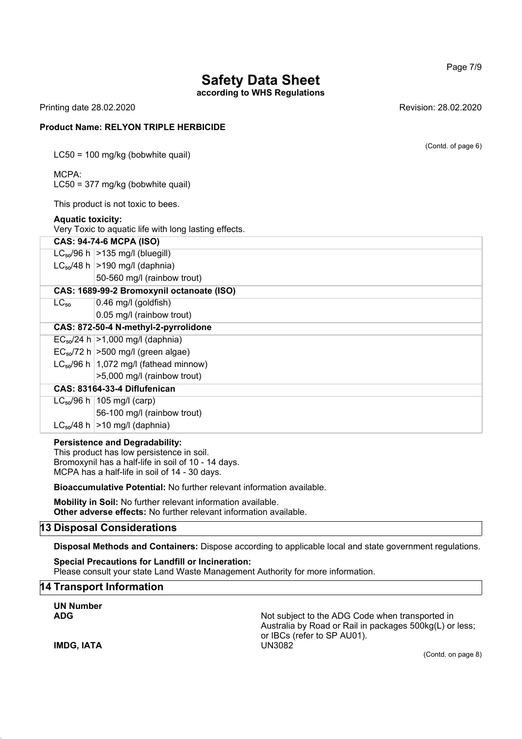**according to WHS Regulations**

Printing date 28.02.2020 **Revision: 28.02.2020** Revision: 28.02.2020

#### **Product Name: RELYON TRIPLE HERBICIDE**

LC50 = 100 mg/kg (bobwhite quail)

#### MCPA: LC50 = 377 mg/kg (bobwhite quail)

This product is not toxic to bees.

## **Aquatic toxicity:**

Very Toxic to aquatic life with long lasting effects.

|           | <b>CAS: 94-74-6 MCPA (ISO)</b>               |  |  |
|-----------|----------------------------------------------|--|--|
|           | $LC_{50}/96$ h $>135$ mg/l (bluegill)        |  |  |
|           | $LC_{50}/48$ h $ >190$ mg/l (daphnia)        |  |  |
|           | 50-560 mg/l (rainbow trout)                  |  |  |
|           | CAS: 1689-99-2 Bromoxynil octanoate (ISO)    |  |  |
| $LC_{50}$ | $0.46$ mg/l (goldfish)                       |  |  |
|           | 0.05 mg/l (rainbow trout)                    |  |  |
|           | CAS: 872-50-4 N-methyl-2-pyrrolidone         |  |  |
|           | $EC_{50}/24 h$   > 1,000 mg/l (daphnia)      |  |  |
|           | $EC_{50}$ /72 h $>500$ mg/l (green algae)    |  |  |
|           | $LC_{50}/96$ h   1,072 mg/l (fathead minnow) |  |  |
|           | >5,000 mg/l (rainbow trout)                  |  |  |
|           | CAS: 83164-33-4 Diflufenican                 |  |  |
|           | $LC_{50}/96$ h   105 mg/l (carp)             |  |  |
|           | 56-100 mg/l (rainbow trout)                  |  |  |
|           | $LC_{50}/48$ h $>10$ mg/l (daphnia)          |  |  |

#### **Persistence and Degradability:**

This product has low persistence in soil. Bromoxynil has a half-life in soil of 10 - 14 days. MCPA has a half-life in soil of 14 - 30 days.

**Bioaccumulative Potential:** No further relevant information available.

**Mobility in Soil:** No further relevant information available. **Other adverse effects:** No further relevant information available.

## **13 Disposal Considerations**

**Disposal Methods and Containers:** Dispose according to applicable local and state government regulations.

**Special Precautions for Landfill or Incineration:** Please consult your state Land Waste Management Authority for more information.

## **14 Transport Information**

**UN Number ADG** Not subject to the ADG Code when transported in Australia by Road or Rail in packages 500kg(L) or less; or IBCs (refer to SP AU01). **IMDG, IATA** UN3082 (Contd. on page 8)

Page 7/9

(Contd. of page 6)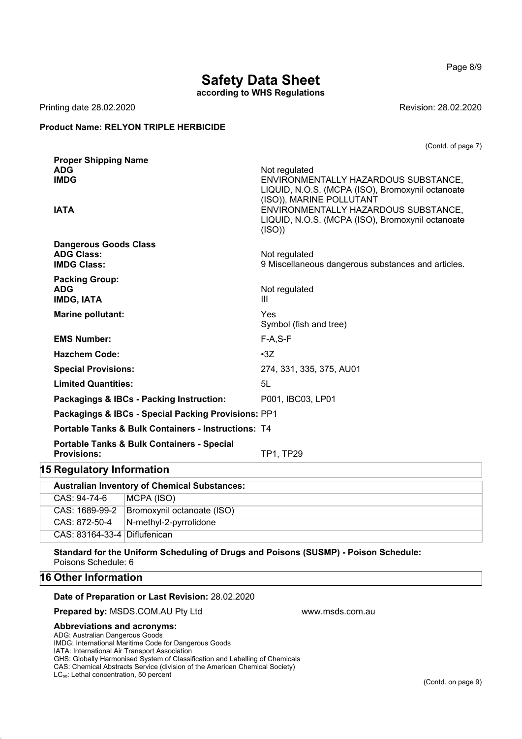Page 8/9

# **Safety Data Sheet**

**according to WHS Regulations**

Printing date 28.02.2020 **Revision: 28.02.2020** 

## **Product Name: RELYON TRIPLE HERBICIDE**

(Contd. of page 7)

| <b>ADG</b><br>Not regulated<br><b>IMDG</b><br>ENVIRONMENTALLY HAZARDOUS SUBSTANCE,<br>LIQUID, N.O.S. (MCPA (ISO), Bromoxynil octanoate<br>(ISO)), MARINE POLLUTANT<br>ENVIRONMENTALLY HAZARDOUS SUBSTANCE,<br><b>IATA</b><br>LIQUID, N.O.S. (MCPA (ISO), Bromoxynil octanoate<br>(ISO)<br><b>Dangerous Goods Class</b><br><b>ADG Class:</b><br>Not regulated<br><b>IMDG Class:</b><br>9 Miscellaneous dangerous substances and articles.<br><b>Packing Group:</b><br><b>ADG</b><br>Not regulated<br><b>IMDG, IATA</b><br>Ш<br>Marine pollutant:<br>Yes<br>Symbol (fish and tree)<br><b>EMS Number:</b><br>$F-A, S-F$<br><b>Hazchem Code:</b><br>$\cdot 3Z$<br><b>Special Provisions:</b><br>274, 331, 335, 375, AU01<br><b>Limited Quantities:</b><br>5L<br>Packagings & IBCs - Packing Instruction:<br>P001, IBC03, LP01<br>Packagings & IBCs - Special Packing Provisions: PP1<br><b>Portable Tanks &amp; Bulk Containers - Instructions: T4</b><br><b>Portable Tanks &amp; Bulk Containers - Special</b><br><b>Provisions:</b><br><b>TP1, TP29</b> | <b>Proper Shipping Name</b> |  |
|-------------------------------------------------------------------------------------------------------------------------------------------------------------------------------------------------------------------------------------------------------------------------------------------------------------------------------------------------------------------------------------------------------------------------------------------------------------------------------------------------------------------------------------------------------------------------------------------------------------------------------------------------------------------------------------------------------------------------------------------------------------------------------------------------------------------------------------------------------------------------------------------------------------------------------------------------------------------------------------------------------------------------------------------------------|-----------------------------|--|
| 15 Regulatory Information                                                                                                                                                                                                                                                                                                                                                                                                                                                                                                                                                                                                                                                                                                                                                                                                                                                                                                                                                                                                                             |                             |  |
|                                                                                                                                                                                                                                                                                                                                                                                                                                                                                                                                                                                                                                                                                                                                                                                                                                                                                                                                                                                                                                                       |                             |  |
|                                                                                                                                                                                                                                                                                                                                                                                                                                                                                                                                                                                                                                                                                                                                                                                                                                                                                                                                                                                                                                                       |                             |  |
|                                                                                                                                                                                                                                                                                                                                                                                                                                                                                                                                                                                                                                                                                                                                                                                                                                                                                                                                                                                                                                                       |                             |  |
|                                                                                                                                                                                                                                                                                                                                                                                                                                                                                                                                                                                                                                                                                                                                                                                                                                                                                                                                                                                                                                                       |                             |  |
|                                                                                                                                                                                                                                                                                                                                                                                                                                                                                                                                                                                                                                                                                                                                                                                                                                                                                                                                                                                                                                                       |                             |  |
|                                                                                                                                                                                                                                                                                                                                                                                                                                                                                                                                                                                                                                                                                                                                                                                                                                                                                                                                                                                                                                                       |                             |  |
|                                                                                                                                                                                                                                                                                                                                                                                                                                                                                                                                                                                                                                                                                                                                                                                                                                                                                                                                                                                                                                                       |                             |  |
|                                                                                                                                                                                                                                                                                                                                                                                                                                                                                                                                                                                                                                                                                                                                                                                                                                                                                                                                                                                                                                                       |                             |  |
|                                                                                                                                                                                                                                                                                                                                                                                                                                                                                                                                                                                                                                                                                                                                                                                                                                                                                                                                                                                                                                                       |                             |  |
|                                                                                                                                                                                                                                                                                                                                                                                                                                                                                                                                                                                                                                                                                                                                                                                                                                                                                                                                                                                                                                                       |                             |  |
|                                                                                                                                                                                                                                                                                                                                                                                                                                                                                                                                                                                                                                                                                                                                                                                                                                                                                                                                                                                                                                                       |                             |  |
|                                                                                                                                                                                                                                                                                                                                                                                                                                                                                                                                                                                                                                                                                                                                                                                                                                                                                                                                                                                                                                                       |                             |  |
|                                                                                                                                                                                                                                                                                                                                                                                                                                                                                                                                                                                                                                                                                                                                                                                                                                                                                                                                                                                                                                                       |                             |  |
|                                                                                                                                                                                                                                                                                                                                                                                                                                                                                                                                                                                                                                                                                                                                                                                                                                                                                                                                                                                                                                                       |                             |  |
|                                                                                                                                                                                                                                                                                                                                                                                                                                                                                                                                                                                                                                                                                                                                                                                                                                                                                                                                                                                                                                                       |                             |  |
|                                                                                                                                                                                                                                                                                                                                                                                                                                                                                                                                                                                                                                                                                                                                                                                                                                                                                                                                                                                                                                                       |                             |  |
|                                                                                                                                                                                                                                                                                                                                                                                                                                                                                                                                                                                                                                                                                                                                                                                                                                                                                                                                                                                                                                                       |                             |  |
|                                                                                                                                                                                                                                                                                                                                                                                                                                                                                                                                                                                                                                                                                                                                                                                                                                                                                                                                                                                                                                                       |                             |  |
|                                                                                                                                                                                                                                                                                                                                                                                                                                                                                                                                                                                                                                                                                                                                                                                                                                                                                                                                                                                                                                                       |                             |  |
|                                                                                                                                                                                                                                                                                                                                                                                                                                                                                                                                                                                                                                                                                                                                                                                                                                                                                                                                                                                                                                                       |                             |  |
|                                                                                                                                                                                                                                                                                                                                                                                                                                                                                                                                                                                                                                                                                                                                                                                                                                                                                                                                                                                                                                                       |                             |  |

| <b>Australian Inventory of Chemical Substances:</b> |                                |
|-----------------------------------------------------|--------------------------------|
| CAS: 94-74-6                                        | MCPA (ISO)                     |
| CAS: 1689-99-2                                      | Bromoxynil octanoate (ISO)     |
| CAS: 872-50-4                                       | $\vert$ N-methyl-2-pyrrolidone |
| CAS: 83164-33-4 Diflufenican                        |                                |

**Standard for the Uniform Scheduling of Drugs and Poisons (SUSMP) - Poison Schedule:** Poisons Schedule: 6

## **16 Other Information**

#### **Date of Preparation or Last Revision:** 28.02.2020

**Prepared by:** MSDS.COM.AU Pty Ltd www.msds.com.au

#### **Abbreviations and acronyms:**

ADG: Australian Dangerous Goods

IMDG: International Maritime Code for Dangerous Goods

IATA: International Air Transport Association

GHS: Globally Harmonised System of Classification and Labelling of Chemicals

CAS: Chemical Abstracts Service (division of the American Chemical Society)